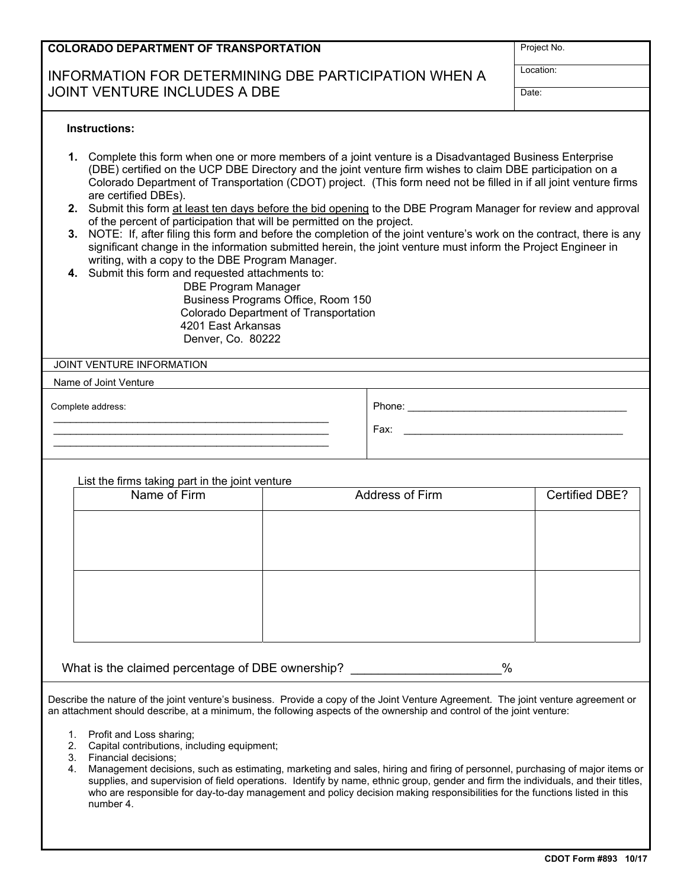### **COLORADO DEPARTMENT OF TRANSPORTATION**

# INFORMATION FOR DETERMINING DBE PARTICIPATION WHEN A JOINT VENTURE INCLUDES A DBE DATE: THE DATE: DATE: DATE: DATE: DATE: DATE: DATE: DATE: DATE: DATE: DATE: DATE: DATE: DATE: DATE: DATE: DATE: DATE: DATE: DATE: DATE: DATE: DATE: DATE: DATE: DATE: DATE: DATE: DATE: DATE: DAT

Project No. Location:

#### **Instructions:**

- **1.** Complete this form when one or more members of a joint venture is a Disadvantaged Business Enterprise (DBE) certified on the UCP DBE Directory and the joint venture firm wishes to claim DBE participation on a Colorado Department of Transportation (CDOT) project. (This form need not be filled in if all joint venture firms are certified DBEs).
- **2.** Submit this form at least ten days before the bid opening to the DBE Program Manager for review and approval of the percent of participation that will be permitted on the project.
- **3.** NOTE: If, after filing this form and before the completion of the joint venture's work on the contract, there is any significant change in the information submitted herein, the joint venture must inform the Project Engineer in writing, with a copy to the DBE Program Manager.
- **4.** Submit this form and requested attachments to:

DBE Program Manager Business Programs Office, Room 150 Colorado Department of Transportation 4201 East Arkansas Denver, Co. 80222

#### JOINT VENTURE INFORMATION

Name of Joint Venture

Complete address:

Phone: \_\_\_\_\_\_\_\_\_\_\_\_\_\_\_\_\_\_\_\_\_\_\_\_\_\_\_\_\_\_\_\_\_\_\_\_\_\_\_

Fax:

List the firms taking part in the joint venture

 $\overline{\phantom{a}}$  , where  $\overline{\phantom{a}}$  , where  $\overline{\phantom{a}}$  , where  $\overline{\phantom{a}}$  , where  $\overline{\phantom{a}}$  , where  $\overline{\phantom{a}}$  $\frac{1}{2}$  , and the set of the set of the set of the set of the set of the set of the set of the set of the set of the set of the set of the set of the set of the set of the set of the set of the set of the set of the set  $\overline{\phantom{a}}$  , where  $\overline{\phantom{a}}$  , where  $\overline{\phantom{a}}$  , where  $\overline{\phantom{a}}$  , where  $\overline{\phantom{a}}$  , where  $\overline{\phantom{a}}$ 

| Name of Firm | Address of Firm | Certified DBE? |
|--------------|-----------------|----------------|
|              |                 |                |
|              |                 |                |
|              |                 |                |
|              |                 |                |
|              |                 |                |
|              |                 |                |
|              |                 |                |

What is the claimed percentage of DBE ownership? \_\_\_\_\_\_\_\_\_\_\_\_\_\_\_\_\_\_\_\_\_\_%

Describe the nature of the joint venture's business. Provide a copy of the Joint Venture Agreement. The joint venture agreement or an attachment should describe, at a minimum, the following aspects of the ownership and control of the joint venture:

- 1. Profit and Loss sharing;
- 2. Capital contributions, including equipment;
- 3. Financial decisions;
- 4. Management decisions, such as estimating, marketing and sales, hiring and firing of personnel, purchasing of major items or supplies, and supervision of field operations. Identify by name, ethnic group, gender and firm the individuals, and their titles, who are responsible for day-to-day management and policy decision making responsibilities for the functions listed in this number 4.